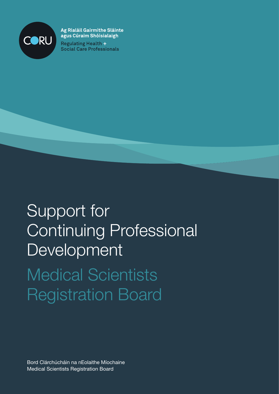

Ag Rialáil Gairmithe Sláinte agus Cúraim Shóisialaigh **Regulating Health +** 

**Social Care Professionals** 

# Support for Continuing Professional Development Medical Scientists Registration Board

Bord Clárchúcháin na nEolaithe Míochaine Medical Scientists Registration Board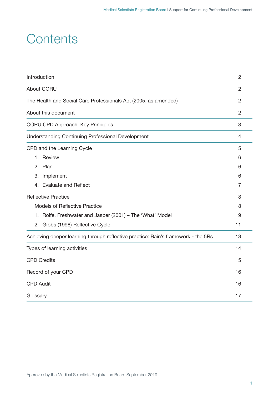### **Contents**

| Introduction                                                                      | $\overline{2}$ |  |
|-----------------------------------------------------------------------------------|----------------|--|
| About CORU                                                                        | $\overline{2}$ |  |
| The Health and Social Care Professionals Act (2005, as amended)                   | $\overline{2}$ |  |
| About this document                                                               | $\overline{2}$ |  |
| <b>CORU CPD Approach: Key Principles</b>                                          | 3              |  |
| <b>Understanding Continuing Professional Development</b>                          | 4              |  |
| CPD and the Learning Cycle                                                        | 5              |  |
| 1. Review                                                                         | 6              |  |
| 2. Plan                                                                           | 6              |  |
| 3. Implement                                                                      | 6              |  |
| 4. Evaluate and Reflect                                                           | $\overline{7}$ |  |
| <b>Reflective Practice</b>                                                        | 8              |  |
| <b>Models of Reflective Practice</b>                                              | 8              |  |
| Rolfe, Freshwater and Jasper (2001) - The 'What' Model<br>1.                      |                |  |
| 2.<br>Gibbs (1998) Reflective Cycle                                               | 11             |  |
| Achieving deeper learning through reflective practice: Bain's framework - the 5Rs | 13             |  |
| Types of learning activities                                                      | 14             |  |
| <b>CPD Credits</b>                                                                | 15             |  |
| Record of your CPD                                                                | 16             |  |
| <b>CPD Audit</b>                                                                  | 16             |  |
| Glossary                                                                          | 17             |  |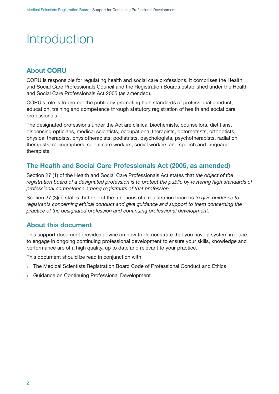## **Introduction**

### **About CORU**

CORU is responsible for regulating health and social care professions. It comprises the Health and Social Care Professionals Council and the Registration Boards established under the Health and Social Care Professionals Act 2005 (as amended).

CORU's role is to protect the public by promoting high standards of professional conduct, education, training and competence through statutory registration of health and social care professionals.

The designated professions under the Act are clinical biochemists, counsellors, dietitians, dispensing opticians, medical scientists, occupational therapists, optometrists, orthoptists, physical therapists, physiotherapists, podiatrists, psychologists, psychotherapists, radiation therapists, radiographers, social care workers, social workers and speech and language therapists.

### **The Health and Social Care Professionals Act (2005, as amended)**

Section 27 (1) of the Health and Social Care Professionals Act states that *the object of the registration board of a designated profession is to protect the public by fostering high standards of professional competence among registrants of that profession.*

Section 27 (3)(c) states that one of the functions of a registration board is *to give guidance to registrants concerning ethical conduct and give guidance and support to them concerning the practice of the designated profession and continuing professional development.*

### **About this document**

This support document provides advice on how to demonstrate that you have a system in place to engage in ongoing continuing professional development to ensure your skills, knowledge and performance are of a high quality, up to date and relevant to your practice.

This document should be read in conjunction with:

- > The Medical Scientists Registration Board Code of Professional Conduct and Ethics
- Guidance on Continuing Professional Development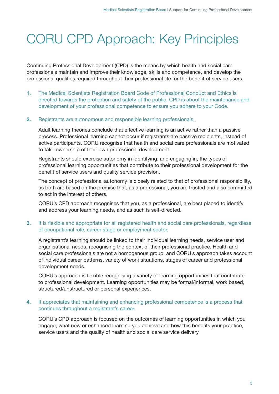## CORU CPD Approach: Key Principles

Continuing Professional Development (CPD) is the means by which health and social care professionals maintain and improve their knowledge, skills and competence, and develop the professional qualities required throughout their professional life for the benefit of service users.

**1.** The Medical Scientists Registration Board Code of Professional Conduct and Ethics is directed towards the protection and safety of the public. CPD is about the maintenance and development of your professional competence to ensure you adhere to your Code.

#### **2.** Registrants are autonomous and responsible learning professionals.

Adult learning theories conclude that effective learning is an active rather than a passive process. Professional learning cannot occur if registrants are passive recipients, instead of active participants. CORU recognise that health and social care professionals are motivated to take ownership of their own professional development.

Registrants should exercise autonomy in identifying, and engaging in, the types of professional learning opportunities that contribute to their professional development for the benefit of service users and quality service provision.

The concept of professional autonomy is closely related to that of professional responsibility, as both are based on the premise that, as a professional, you are trusted and also committed to act in the interest of others.

CORU's CPD approach recognises that you, as a professional, are best placed to identify and address your learning needs, and as such is self-directed.

#### **3.** It is flexible and appropriate for all registered health and social care professionals, regardless of occupational role, career stage or employment sector.

A registrant's learning should be linked to their individual learning needs, service user and organisational needs, recognising the context of their professional practice. Health and social care professionals are not a homogenous group, and CORU's approach takes account of individual career patterns, variety of work situations, stages of career and professional development needs.

CORU's approach is flexible recognising a variety of learning opportunities that contribute to professional development. Learning opportunities may be formal/informal, work based, structured/unstructured or personal experiences.

#### **4.** It appreciates that maintaining and enhancing professional competence is a process that continues throughout a registrant's career.

CORU's CPD approach is focused on the outcomes of learning opportunities in which you engage, what new or enhanced learning you achieve and how this benefits your practice, service users and the quality of health and social care service delivery.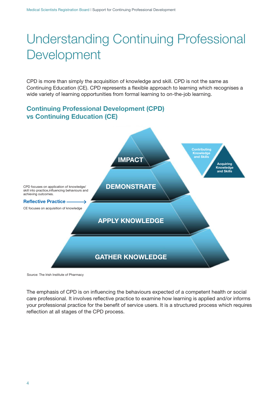## Understanding Continuing Professional Development

CPD is more than simply the acquisition of knowledge and skill. CPD is not the same as Continuing Education (CE). CPD represents a flexible approach to learning which recognises a wide variety of learning opportunities from formal learning to on-the-job learning.

### **Continuing Professional Development (CPD) vs Continuing Education (CE)**



Source: The Irish Institute of Pharmacy

The emphasis of CPD is on influencing the behaviours expected of a competent health or social care professional. It involves reflective practice to examine how learning is applied and/or informs your professional practice for the benefit of service users. It is a structured process which requires reflection at all stages of the CPD process.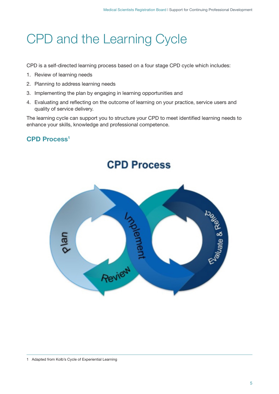## CPD and the Learning Cycle

CPD is a self-directed learning process based on a four stage CPD cycle which includes:

- 1. Review of learning needs
- 2. Planning to address learning needs
- 3. Implementing the plan by engaging in learning opportunities and
- 4. Evaluating and reflecting on the outcome of learning on your practice, service users and quality of service delivery.

The learning cycle can support you to structure your CPD to meet identified learning needs to enhance your skills, knowledge and professional competence.

### **CPD Process1**

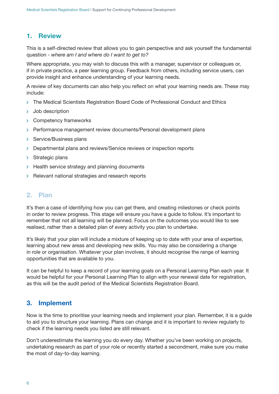#### **1. Review**

This is a self-directed review that allows you to gain perspective and ask yourself the fundamental question - *where am I and where do I want to get to?*

Where appropriate, you may wish to discuss this with a manager, supervisor or colleagues or, if in private practice, a peer learning group. Feedback from others, including service users, can provide insight and enhance understanding of your learning needs.

A review of key documents can also help you reflect on what your learning needs are. These may include:

- $\rightarrow$  The Medical Scientists Registration Board Code of Professional Conduct and Ethics
- > Job description
- Competency frameworks
- > Performance management review documents/Personal development plans
- > Service/Business plans
- Departmental plans and reviews/Service reviews or inspection reports
- $\triangleright$  Strategic plans
- $\rightarrow$  Health service strategy and planning documents
- $\triangleright$  Relevant national strategies and research reports

#### **2. Plan**

It's then a case of identifying how you can get there, and creating milestones or check points in order to review progress. This stage will ensure you have a guide to follow. It's important to remember that not all learning will be planned. Focus on the outcomes you would like to see realised, rather than a detailed plan of every activity you plan to undertake.

It's likely that your plan will include a mixture of keeping up to date with your area of expertise, learning about new areas and developing new skills. You may also be considering a change in role or organisation. Whatever your plan involves, it should recognise the range of learning opportunities that are available to you.

It can be helpful to keep a record of your learning goals on a Personal Learning Plan each year. It would be helpful for your Personal Learning Plan to align with your renewal date for registration, as this will be the audit period of the Medical Scientists Registration Board.

#### **3. Implement**

Now is the time to prioritise your learning needs and implement your plan. Remember, it is a guide to aid you to structure your learning. Plans can change and it is important to review regularly to check if the learning needs you listed are still relevant.

Don't underestimate the learning you do every day. Whether you've been working on projects, undertaking research as part of your role or recently started a secondment, make sure you make the most of day-to-day learning.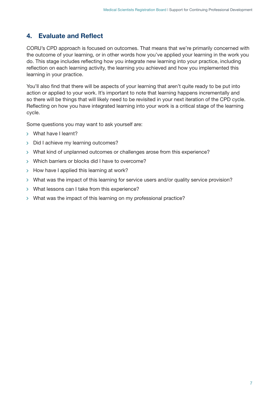### **4. Evaluate and Reflect**

CORU's CPD approach is focused on outcomes. That means that we're primarily concerned with the outcome of your learning, or in other words how you've applied your learning in the work you do. This stage includes reflecting how you integrate new learning into your practice, including reflection on each learning activity, the learning you achieved and how you implemented this learning in your practice.

You'll also find that there will be aspects of your learning that aren't quite ready to be put into action or applied to your work. It's important to note that learning happens incrementally and so there will be things that will likely need to be revisited in your next iteration of the CPD cycle. Reflecting on how you have integrated learning into your work is a critical stage of the learning cycle.

Some questions you may want to ask yourself are:

- > What have I learnt?
- > Did I achieve my learning outcomes?
- > What kind of unplanned outcomes or challenges arose from this experience?
- Which barriers or blocks did I have to overcome?
- $\rightarrow$  How have I applied this learning at work?
- What was the impact of this learning for service users and/or quality service provision?
- > What lessons can I take from this experience?
- What was the impact of this learning on my professional practice?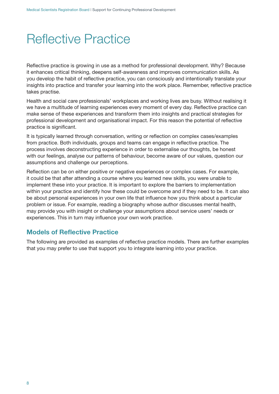### Reflective Practice

Reflective practice is growing in use as a method for professional development. Why? Because it enhances critical thinking, deepens self-awareness and improves communication skills. As you develop the habit of reflective practice, you can consciously and intentionally translate your insights into practice and transfer your learning into the work place. Remember, reflective practice takes practise.

Health and social care professionals' workplaces and working lives are busy. Without realising it we have a multitude of learning experiences every moment of every day. Reflective practice can make sense of these experiences and transform them into insights and practical strategies for professional development and organisational impact. For this reason the potential of reflective practice is significant.

It is typically learned through conversation, writing or reflection on complex cases/examples from practice. Both individuals, groups and teams can engage in reflective practice. The process involves deconstructing experience in order to externalise our thoughts, be honest with our feelings, analyse our patterns of behaviour, become aware of our values, question our assumptions and challenge our perceptions.

Reflection can be on either positive or negative experiences or complex cases. For example, it could be that after attending a course where you learned new skills, you were unable to implement these into your practice. It is important to explore the barriers to implementation within your practice and identify how these could be overcome and if they need to be. It can also be about personal experiences in your own life that influence how you think about a particular problem or issue. For example, reading a biography whose author discusses mental health, may provide you with insight or challenge your assumptions about service users' needs or experiences. This in turn may influence your own work practice.

### **Models of Reflective Practice**

The following are provided as examples of reflective practice models. There are further examples that you may prefer to use that support you to integrate learning into your practice.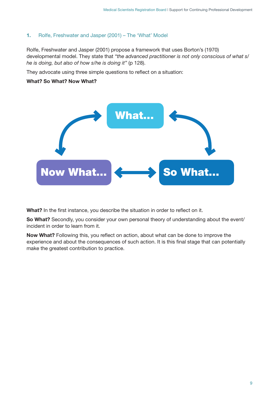#### **1.** Rolfe, Freshwater and Jasper (2001) – The 'What' Model

Rolfe, Freshwater and Jasper (2001) propose a framework that uses Borton's (1970) developmental model. They state that *"the advanced practitioner is not only conscious of what s/ he is doing, but also of how s/he is doing it"* (p 128).

They advocate using three simple questions to reflect on a situation:

#### **What? So What? Now What?**



**What?** In the first instance, you describe the situation in order to reflect on it.

**So What?** Secondly, you consider your own personal theory of understanding about the event/ incident in order to learn from it.

**Now What?** Following this, you reflect on action, about what can be done to improve the experience and about the consequences of such action. It is this final stage that can potentially make the greatest contribution to practice.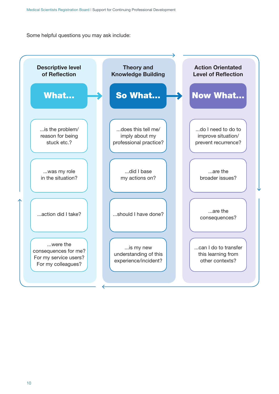Some helpful questions you may ask include:

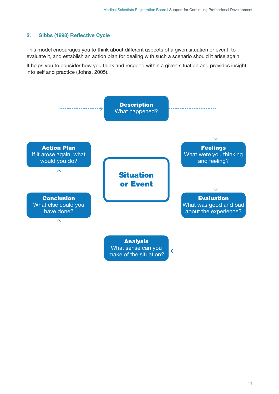#### **2. Gibbs (1998) Reflective Cycle**

This model encourages you to think about different aspects of a given situation or event, to evaluate it, and establish an action plan for dealing with such a scenario should it arise again.

It helps you to consider how you think and respond within a given situation and provides insight into self and practice (Johns, 2005).

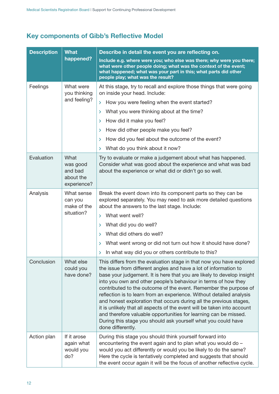### **Key components of Gibb's Reflective Model**

| <b>Description</b> | <b>What</b>                                             | Describe in detail the event you are reflecting on.                                                                                                                                                                                                                                                                                                                                                                                                                                                                                                                                                                                                                                                                                         |  |  |
|--------------------|---------------------------------------------------------|---------------------------------------------------------------------------------------------------------------------------------------------------------------------------------------------------------------------------------------------------------------------------------------------------------------------------------------------------------------------------------------------------------------------------------------------------------------------------------------------------------------------------------------------------------------------------------------------------------------------------------------------------------------------------------------------------------------------------------------------|--|--|
| happened?          |                                                         | Include e.g. where were you; who else was there; why were you there;<br>what were other people doing; what was the context of the event;<br>what happened; what was your part in this; what parts did other<br>people play; what was the result?                                                                                                                                                                                                                                                                                                                                                                                                                                                                                            |  |  |
| Feelings           | What were<br>you thinking                               | At this stage, try to recall and explore those things that were going<br>on inside your head. Include:                                                                                                                                                                                                                                                                                                                                                                                                                                                                                                                                                                                                                                      |  |  |
|                    | and feeling?                                            | How you were feeling when the event started?<br>≻                                                                                                                                                                                                                                                                                                                                                                                                                                                                                                                                                                                                                                                                                           |  |  |
|                    |                                                         | What you were thinking about at the time?<br>≻                                                                                                                                                                                                                                                                                                                                                                                                                                                                                                                                                                                                                                                                                              |  |  |
|                    |                                                         | > How did it make you feel?                                                                                                                                                                                                                                                                                                                                                                                                                                                                                                                                                                                                                                                                                                                 |  |  |
|                    |                                                         | > How did other people make you feel?                                                                                                                                                                                                                                                                                                                                                                                                                                                                                                                                                                                                                                                                                                       |  |  |
|                    |                                                         | How did you feel about the outcome of the event?<br>≻                                                                                                                                                                                                                                                                                                                                                                                                                                                                                                                                                                                                                                                                                       |  |  |
|                    |                                                         | What do you think about it now?<br>≻                                                                                                                                                                                                                                                                                                                                                                                                                                                                                                                                                                                                                                                                                                        |  |  |
| Evaluation         | What<br>was good<br>and bad<br>about the<br>experience? | Try to evaluate or make a judgement about what has happened.<br>Consider what was good about the experience and what was bad<br>about the experience or what did or didn't go so well.                                                                                                                                                                                                                                                                                                                                                                                                                                                                                                                                                      |  |  |
| Analysis           | What sense<br>can you<br>make of the<br>situation?      | Break the event down into its component parts so they can be<br>explored separately. You may need to ask more detailed questions<br>about the answers to the last stage. Include:<br>What went well?<br>$\sum$<br>What did you do well?<br>≻<br>What did others do well?<br>$\sum$<br>What went wrong or did not turn out how it should have done?<br>≻                                                                                                                                                                                                                                                                                                                                                                                     |  |  |
|                    |                                                         | In what way did you or others contribute to this?<br>≻                                                                                                                                                                                                                                                                                                                                                                                                                                                                                                                                                                                                                                                                                      |  |  |
| Conclusion         | What else<br>could you<br>have done?                    | This differs from the evaluation stage in that now you have explored<br>the issue from different angles and have a lot of information to<br>base your judgement. It is here that you are likely to develop insight<br>into you own and other people's behaviour in terms of how they<br>contributed to the outcome of the event. Remember the purpose of<br>reflection is to learn from an experience. Without detailed analysis<br>and honest exploration that occurs during all the previous stages,<br>it is unlikely that all aspects of the event will be taken into account<br>and therefore valuable opportunities for learning can be missed.<br>During this stage you should ask yourself what you could have<br>done differently. |  |  |
| Action plan        | If it arose<br>again what<br>would you<br>do?           | During this stage you should think yourself forward into<br>encountering the event again and to plan what you would do -<br>would you act differently or would you be likely to do the same?<br>Here the cycle is tentatively completed and suggests that should<br>the event occur again it will be the focus of another reflective cycle.                                                                                                                                                                                                                                                                                                                                                                                                 |  |  |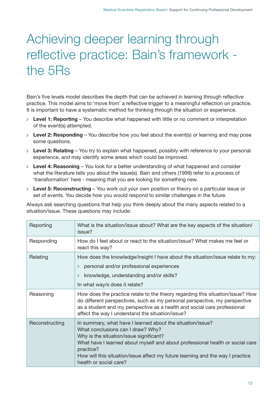## Achieving deeper learning through reflective practice: Bain's framework the 5Rs

Bain's five levels model describes the depth that can be achieved in learning through reflective practice. This model aims to 'move from' a reflective trigger to a meaningful reflection on practice. It is important to have a systematic method for thinking through the situation or experience.

- **Level 1: Reporting** You describe what happened with little or no comment or interpretation of the event(s) attempted.
- **Level 2: Responding** You describe how you feel about the event(s) or learning and may pose some questions.
- **Level 3: Relating** You try to explain what happened, possibly with reference to your personal experience, and may identify some areas which could be improved.
- **Level 4: Reasoning** You look for a better understanding of what happened and consider what the literature tells you about the issue(s). Bain and others (1999) refer to a process of 'transformation' here - meaning that you are looking for something new.
- **Level 5: Reconstructing** You work out your own position or theory on a particular issue or set of events. You decide how you would respond to similar challenges in the future.

Always ask searching questions that help you think deeply about the many aspects related to a situation/issue. These questions may include:

| Reporting      | What is the situation/issue about? What are the key aspects of the situation/<br>issue?                                                                                                                                                                                                                                                              |
|----------------|------------------------------------------------------------------------------------------------------------------------------------------------------------------------------------------------------------------------------------------------------------------------------------------------------------------------------------------------------|
| Responding     | How do I feel about or react to the situation/issue? What makes me feel or<br>react this way?                                                                                                                                                                                                                                                        |
| Relating       | How does the knowledge/insight I have about the situation/issue relate to my:<br>personal and/or professional experiences<br>$\mathbf{r}$<br>knowledge, understanding and/or skills?<br>≻<br>In what way/s does it relate?                                                                                                                           |
| Reasoning      | How does the practice relate to the theory regarding this situation/issue? How<br>do different perspectives, such as my personal perspective, my perspective<br>as a student and my perspective as a health and social care professional<br>affect the way I understand the situation/issue?                                                         |
| Reconstructing | In summary, what have I learned about the situation/issue?<br>What conclusions can I draw? Why?<br>Why is the situation/issue significant?<br>What have I learned about myself and about professional health or social care<br>practice?<br>How will this situation/issue affect my future learning and the way I practice<br>health or social care? |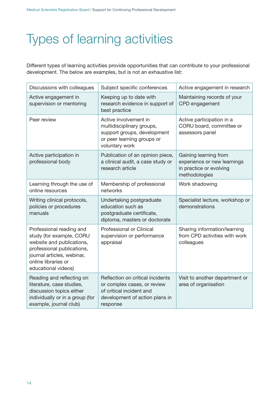## Types of learning activities

Different types of learning activities provide opportunities that can contribute to your professional development. The below are examples, but is not an exhaustive list:

| Discussions with colleagues                                                                                                                                                                 | Subject specific conferences                                                                                                              | Active engagement in research                                                                    |
|---------------------------------------------------------------------------------------------------------------------------------------------------------------------------------------------|-------------------------------------------------------------------------------------------------------------------------------------------|--------------------------------------------------------------------------------------------------|
| Active engagement in<br>supervision or mentoring                                                                                                                                            | Keeping up to date with<br>research evidence in support of<br>best practice                                                               | Maintaining records of your<br>CPD engagement                                                    |
| Peer review                                                                                                                                                                                 | Active involvement in<br>multidisciplinary groups,<br>support groups, development<br>or peer learning groups or<br>voluntary work         | Active participation in a<br>CORU board, committee or<br>assessors panel                         |
| Active participation in<br>professional body                                                                                                                                                | Publication of an opinion piece,<br>a clinical audit, a case study or<br>research article                                                 | Gaining learning from<br>experience or new learnings<br>in practice or evolving<br>methodologies |
| Learning through the use of<br>online resources                                                                                                                                             | Membership of professional<br>networks                                                                                                    | Work shadowing                                                                                   |
| Writing clinical protocols,<br>policies or procedures<br>manuals                                                                                                                            | Undertaking postgraduate<br>education such as<br>postgraduate certificate,<br>diploma, masters or doctorate                               | Specialist lecture, workshop or<br>demonstrations                                                |
| Professional reading and<br>study (for example, CORU<br>website and publications,<br>professional publications,<br>journal articles, webinar,<br>online libraries or<br>educational videos) | Professional or Clinical<br>supervision or performance<br>appraisal                                                                       | Sharing information/learning<br>from CPD activities with work<br>colleagues                      |
| Reading and reflecting on<br>literature, case studies,<br>discussion topics either<br>individually or in a group (for<br>example, journal club)                                             | Reflection on critical incidents<br>or complex cases, or review<br>of critical incident and<br>development of action plans in<br>response | Visit to another department or<br>area of organisation                                           |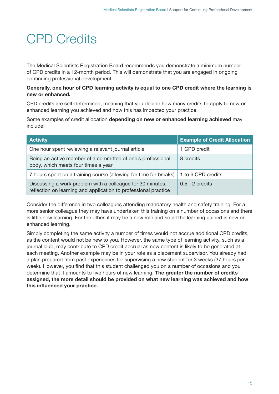## CPD Credits

The Medical Scientists Registration Board recommends you demonstrate a minimum number of CPD credits in a 12-month period. This will demonstrate that you are engaged in ongoing continuing professional development.

#### **Generally, one hour of CPD learning activity is equal to one CPD credit where the learning is new or enhanced.**

CPD credits are self-determined, meaning that you decide how many credits to apply to new or enhanced learning you achieved and how this has impacted your practice.

Some examples of credit allocation **depending on new or enhanced learning achieved** may include:

| <b>Activity</b>                                                                                                               | <b>Example of Credit Allocation</b> |
|-------------------------------------------------------------------------------------------------------------------------------|-------------------------------------|
| One hour spent reviewing a relevant journal article                                                                           | 1 CPD credit                        |
| Being an active member of a committee of one's professional<br>body, which meets four times a year                            | 8 credits                           |
| 7 hours spent on a training course (allowing for time for breaks)                                                             | 1 to 6 CPD credits                  |
| Discussing a work problem with a colleague for 30 minutes,<br>reflection on learning and application to professional practice | $0.5 - 2$ credits                   |

Consider the difference in two colleagues attending mandatory health and safety training. For a more senior colleague they may have undertaken this training on a number of occasions and there is little new learning. For the other, it may be a new role and so all the learning gained is new or enhanced learning.

Simply completing the same activity a number of times would not accrue additional CPD credits, as the content would not be new to you. However, the same type of learning activity, such as a journal club, may contribute to CPD credit accrual as new content is likely to be generated at each meeting. Another example may be in your role as a placement supervisor. You already had a plan prepared from past experiences for supervising a new student for 3 weeks (37 hours per week). However, you find that this student challenged you on a number of occasions and you determine that it amounts to five hours of new learning. **The greater the number of credits assigned, the more detail should be provided on what new learning was achieved and how this influenced your practice.**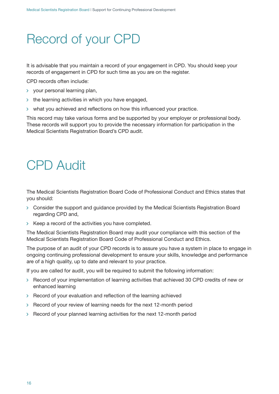## Record of your CPD

It is advisable that you maintain a record of your engagement in CPD. You should keep your records of engagement in CPD for such time as you are on the register.

CPD records often include:

- $\rightarrow$  vour personal learning plan.
- $\rightarrow$  the learning activities in which you have engaged,
- $\rightarrow$  what you achieved and reflections on how this influenced your practice.

This record may take various forms and be supported by your employer or professional body. These records will support you to provide the necessary information for participation in the Medical Scientists Registration Board's CPD audit.

### CPD Audit

The Medical Scientists Registration Board Code of Professional Conduct and Ethics states that you should:

- Consider the support and guidance provided by the Medical Scientists Registration Board regarding CPD and,
- $\rightarrow$  Keep a record of the activities you have completed.

The Medical Scientists Registration Board may audit your compliance with this section of the Medical Scientists Registration Board Code of Professional Conduct and Ethics.

The purpose of an audit of your CPD records is to assure you have a system in place to engage in ongoing continuing professional development to ensure your skills, knowledge and performance are of a high quality, up to date and relevant to your practice.

If you are called for audit, you will be required to submit the following information:

- $\rightarrow$  Record of your implementation of learning activities that achieved 30 CPD credits of new or enhanced learning
- $\rightarrow$  Record of your evaluation and reflection of the learning achieved
- $\rightarrow$  Record of your review of learning needs for the next 12-month period
- $\ge$  Record of your planned learning activities for the next 12-month period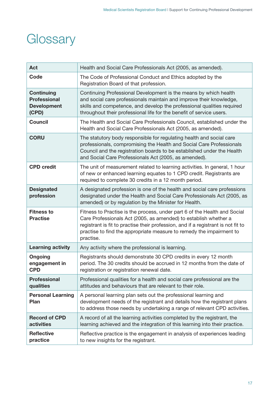### **Glossary**

| Act                                                                     | Health and Social Care Professionals Act (2005, as amended).                                                                                                                                                                                                                                                            |
|-------------------------------------------------------------------------|-------------------------------------------------------------------------------------------------------------------------------------------------------------------------------------------------------------------------------------------------------------------------------------------------------------------------|
| Code                                                                    | The Code of Professional Conduct and Ethics adopted by the<br>Registration Board of that profession.                                                                                                                                                                                                                    |
| <b>Continuing</b><br><b>Professional</b><br><b>Development</b><br>(CPD) | Continuing Professional Development is the means by which health<br>and social care professionals maintain and improve their knowledge,<br>skills and competence, and develop the professional qualities required<br>throughout their professional life for the benefit of service users.                               |
| <b>Council</b>                                                          | The Health and Social Care Professionals Council, established under the<br>Health and Social Care Professionals Act (2005, as amended).                                                                                                                                                                                 |
| <b>CORU</b>                                                             | The statutory body responsible for regulating health and social care<br>professionals, compromising the Health and Social Care Professionals<br>Council and the registration boards to be established under the Health<br>and Social Care Professionals Act (2005, as amended).                                         |
| <b>CPD</b> credit                                                       | The unit of measurement related to learning activities. In general, 1 hour<br>of new or enhanced learning equates to 1 CPD credit. Registrants are<br>required to complete 30 credits in a 12 month period.                                                                                                             |
| <b>Designated</b><br>profession                                         | A designated profession is one of the health and social care professions<br>designated under the Health and Social Care Professionals Act (2005, as<br>amended) or by regulation by the Minister for Health.                                                                                                            |
| <b>Fitness to</b><br><b>Practise</b>                                    | Fitness to Practise is the process, under part 6 of the Health and Social<br>Care Professionals Act (2005, as amended) to establish whether a<br>registrant is fit to practise their profession, and if a registrant is not fit to<br>practise to find the appropriate measure to remedy the impairment to<br>practise. |
| <b>Learning activity</b>                                                | Any activity where the professional is learning.                                                                                                                                                                                                                                                                        |
| <b>Ongoing</b><br>engagement in<br><b>CPD</b>                           | Registrants should demonstrate 30 CPD credits in every 12 month<br>period. The 30 credits should be accrued in 12 months from the date of<br>registration or registration renewal date.                                                                                                                                 |
| <b>Professional</b><br>qualities                                        | Professional qualities for a health and social care professional are the<br>attitudes and behaviours that are relevant to their role.                                                                                                                                                                                   |
| <b>Personal Learning</b><br>Plan                                        | A personal learning plan sets out the professional learning and<br>development needs of the registrant and details how the registrant plans<br>to address those needs by undertaking a range of relevant CPD activities.                                                                                                |
| <b>Record of CPD</b><br>activities                                      | A record of all the learning activities completed by the registrant, the<br>learning achieved and the integration of this learning into their practice.                                                                                                                                                                 |
| <b>Reflective</b><br>practice                                           | Reflective practice is the engagement in analysis of experiences leading<br>to new insights for the registrant.                                                                                                                                                                                                         |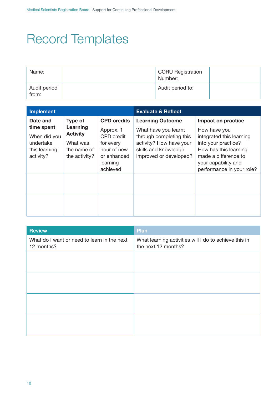## Record Templates

| Name:                 | CORU Registration<br>Number: |  |
|-----------------------|------------------------------|--|
| Audit period<br>from: | Audit period to:             |  |

| <b>Implement</b>                                                      |                                                                         |                                                                                                   | <b>Evaluate &amp; Reflect</b>                                                                                                |                                                                                                                                                                      |
|-----------------------------------------------------------------------|-------------------------------------------------------------------------|---------------------------------------------------------------------------------------------------|------------------------------------------------------------------------------------------------------------------------------|----------------------------------------------------------------------------------------------------------------------------------------------------------------------|
| Date and                                                              | <b>Type of</b>                                                          | <b>CPD credits</b>                                                                                | <b>Learning Outcome</b>                                                                                                      | Impact on practice                                                                                                                                                   |
| time spent<br>When did you<br>undertake<br>this learning<br>activity? | Learning<br><b>Activity</b><br>What was<br>the name of<br>the activity? | Approx. 1<br><b>CPD</b> credit<br>for every<br>hour of new<br>or enhanced<br>learning<br>achieved | What have you learnt<br>through completing this<br>activity? How have your<br>skills and knowledge<br>improved or developed? | How have you<br>integrated this learning<br>into your practice?<br>How has this learning<br>made a difference to<br>your capability and<br>performance in your role? |
|                                                                       |                                                                         |                                                                                                   |                                                                                                                              |                                                                                                                                                                      |
|                                                                       |                                                                         |                                                                                                   |                                                                                                                              |                                                                                                                                                                      |

| <b>Review</b>                                             | Plan                                                                         |
|-----------------------------------------------------------|------------------------------------------------------------------------------|
| What do I want or need to learn in the next<br>12 months? | What learning activities will I do to achieve this in<br>the next 12 months? |
|                                                           |                                                                              |
|                                                           |                                                                              |
|                                                           |                                                                              |
|                                                           |                                                                              |
|                                                           |                                                                              |
|                                                           |                                                                              |
|                                                           |                                                                              |
|                                                           |                                                                              |